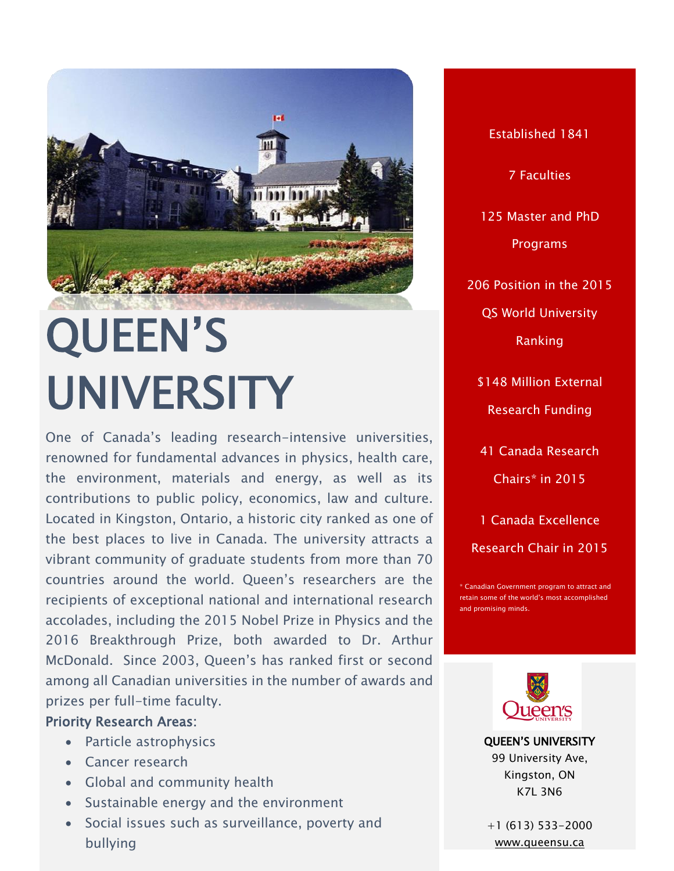

# QUEEN'S UNIVERSITY

**INSERT PICK** One of Canada's leading research-intensive universities, renowned for fundamental advances in physics, health care, the environment, materials and energy, as well as its contributions to public policy, economics, law and culture. Located in Kingston, Ontario, a historic city ranked as one of the best places to live in Canada. The university attracts a vibrant community of graduate students from more than 70 countries around the world. Queen's researchers are the recipients of exceptional national and international research accolades, including the 2015 Nobel Prize in Physics and the 2016 Breakthrough Prize, both awarded to Dr. Arthur McDonald. Since 2003, Queen's has ranked first or second among all Canadian universities in the number of awards and prizes per full-time faculty.

### Priority Research Areas:

- Particle astrophysics
- Cancer research
- Global and community health
- Sustainable energy and the environment
- Social issues such as surveillance, poverty and bullying

Established 1841 7 Faculties 125 Master and PhD Programs 206 Position in the 2015 QS World University Ranking \$148 Million External Research Funding 41 Canada Research Chairs\* in 2015 1 Canada Excellence

Canadian Government program to attract and retain some of the world's most accomplished and promising minds.

Research Chair in 2015



QUEEN'S UNIVERSITY 99 University Ave, Kingston, ON K7L 3N6

+1 (613) 533-2000 [www.queensu.ca](file:///C:/Users/Paulo%20Carvalho/Desktop/CALDO%20BROCHURE/www.queensu.ca)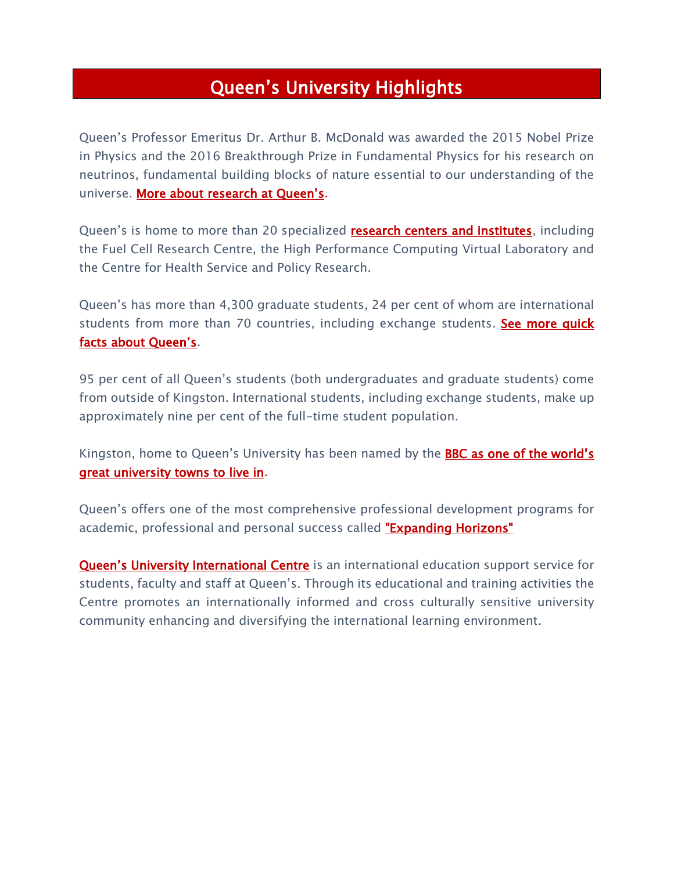## Queen's University Highlights

Queen's Professor Emeritus Dr. Arthur B. McDonald was awarded the 2015 Nobel Prize in Physics and the 2016 Breakthrough Prize in Fundamental Physics for his research on neutrinos, fundamental building blocks of nature essential to our understanding of the universe. [More about research at Queen's](http://queensu.ca/research).

Queen's is home to more than 20 specialized **research centers and institutes**, including the Fuel Cell Research Centre, the High Performance Computing Virtual Laboratory and the Centre for Health Service and Policy Research.

Queen's has more than 4,300 graduate students, 24 per cent of whom are international students from more than 70 countries, including exchange students. See more quick [facts about Queen's](http://www.queensu.ca/discover/quickfacts).

95 per cent of all Queen's students (both undergraduates and graduate students) come from outside of Kingston. International students, including exchange students, make up approximately nine per cent of the full-time student population.

Kingston, home to Queen's University has been named by the **BBC as one of the world's** [great university towns to live in.](http://www.bbc.com/travel/story/20131119-living-in-great-university-towns)

Queen's offers one of the most comprehensive professional development programs for academic, professional and personal success called ["Expanding Horizons"](http://www.queensu.ca/exph)

[Queen's University International Centre](http://quic.queensu.ca/about-quic) is an international education support service for students, faculty and staff at Queen's. Through its educational and training activities the Centre promotes an internationally informed and cross culturally sensitive university community enhancing and diversifying the international learning environment.